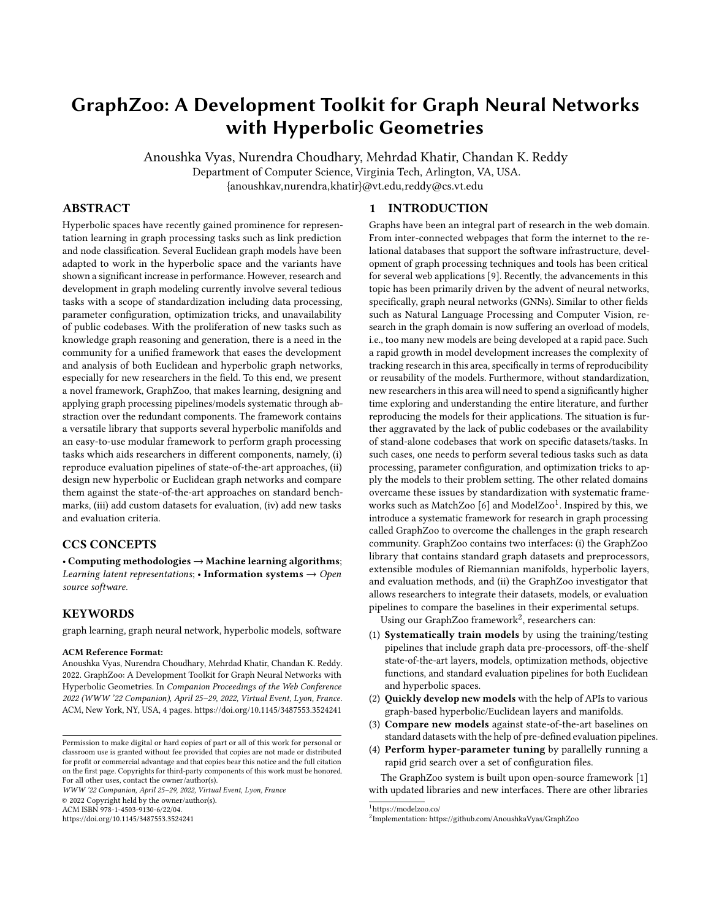# <span id="page-0-0"></span>GraphZoo: A Development Toolkit for Graph Neural Networks with Hyperbolic Geometries

Anoushka Vyas, Nurendra Choudhary, Mehrdad Khatir, Chandan K. Reddy

Department of Computer Science, Virginia Tech, Arlington, VA, USA.

{anoushkav,nurendra,khatir}@vt.edu,reddy@cs.vt.edu

# ABSTRACT

Hyperbolic spaces have recently gained prominence for representation learning in graph processing tasks such as link prediction and node classification. Several Euclidean graph models have been adapted to work in the hyperbolic space and the variants have shown a significant increase in performance. However, research and development in graph modeling currently involve several tedious tasks with a scope of standardization including data processing, parameter configuration, optimization tricks, and unavailability of public codebases. With the proliferation of new tasks such as knowledge graph reasoning and generation, there is a need in the community for a unified framework that eases the development and analysis of both Euclidean and hyperbolic graph networks, especially for new researchers in the field. To this end, we present a novel framework, GraphZoo, that makes learning, designing and applying graph processing pipelines/models systematic through abstraction over the redundant components. The framework contains a versatile library that supports several hyperbolic manifolds and an easy-to-use modular framework to perform graph processing tasks which aids researchers in different components, namely, (i) reproduce evaluation pipelines of state-of-the-art approaches, (ii) design new hyperbolic or Euclidean graph networks and compare them against the state-of-the-art approaches on standard benchmarks, (iii) add custom datasets for evaluation, (iv) add new tasks and evaluation criteria.

# CCS CONCEPTS

• Computing methodologies  $\rightarrow$  Machine learning algorithms; Learning latent representations; • Information systems  $\rightarrow$  Open source software.

## **KEYWORDS**

graph learning, graph neural network, hyperbolic models, software

#### ACM Reference Format:

Anoushka Vyas, Nurendra Choudhary, Mehrdad Khatir, Chandan K. Reddy. 2022. GraphZoo: A Development Toolkit for Graph Neural Networks with Hyperbolic Geometries. In Companion Proceedings of the Web Conference 2022 (WWW '22 Companion), April 25–29, 2022, Virtual Event, Lyon, France. ACM, New York, NY, USA, [4](#page-3-0) pages.<https://doi.org/10.1145/3487553.3524241>

WWW '22 Companion, April 25–29, 2022, Virtual Event, Lyon, France © 2022 Copyright held by the owner/author(s).

ACM ISBN 978-1-4503-9130-6/22/04.

<https://doi.org/10.1145/3487553.3524241>

#### 1 INTRODUCTION

Graphs have been an integral part of research in the web domain. From inter-connected webpages that form the internet to the relational databases that support the software infrastructure, development of graph processing techniques and tools has been critical for several web applications [\[9\]](#page-3-1). Recently, the advancements in this topic has been primarily driven by the advent of neural networks, specifically, graph neural networks (GNNs). Similar to other fields such as Natural Language Processing and Computer Vision, research in the graph domain is now suffering an overload of models, i.e., too many new models are being developed at a rapid pace. Such a rapid growth in model development increases the complexity of tracking research in this area, specifically in terms of reproducibility or reusability of the models. Furthermore, without standardization, new researchers in this area will need to spend a significantly higher time exploring and understanding the entire literature, and further reproducing the models for their applications. The situation is further aggravated by the lack of public codebases or the availability of stand-alone codebases that work on specific datasets/tasks. In such cases, one needs to perform several tedious tasks such as data processing, parameter configuration, and optimization tricks to apply the models to their problem setting. The other related domains overcame these issues by standardization with systematic frame-works such as MatchZoo [\[6\]](#page-3-2) and ModelZoo<sup>1</sup>. Inspired by this, we introduce a systematic framework for research in graph processing called GraphZoo to overcome the challenges in the graph research community. GraphZoo contains two interfaces: (i) the GraphZoo library that contains standard graph datasets and preprocessors, extensible modules of Riemannian manifolds, hyperbolic layers, and evaluation methods, and (ii) the GraphZoo investigator that allows researchers to integrate their datasets, models, or evaluation pipelines to compare the baselines in their experimental setups.

Using our GraphZoo framework $^2$ , researchers can:

- (1) Systematically train models by using the training/testing pipelines that include graph data pre-processors, off-the-shelf state-of-the-art layers, models, optimization methods, objective functions, and standard evaluation pipelines for both Euclidean and hyperbolic spaces.
- (2) Quickly develop new models with the help of APIs to various graph-based hyperbolic/Euclidean layers and manifolds.
- (3) Compare new models against state-of-the-art baselines on standard datasets with the help of pre-defined evaluation pipelines.
- (4) Perform hyper-parameter tuning by parallelly running a rapid grid search over a set of configuration files.

The GraphZoo system is built upon open-source framework [\[1\]](#page-3-3) with updated libraries and new interfaces. There are other libraries

<sup>1</sup><https://modelzoo.co/>

Permission to make digital or hard copies of part or all of this work for personal or classroom use is granted without fee provided that copies are not made or distributed for profit or commercial advantage and that copies bear this notice and the full citation on the first page. Copyrights for third-party components of this work must be honored. For all other uses, contact the owner/author(s).

<sup>2</sup> Implementation:<https://github.com/AnoushkaVyas/GraphZoo>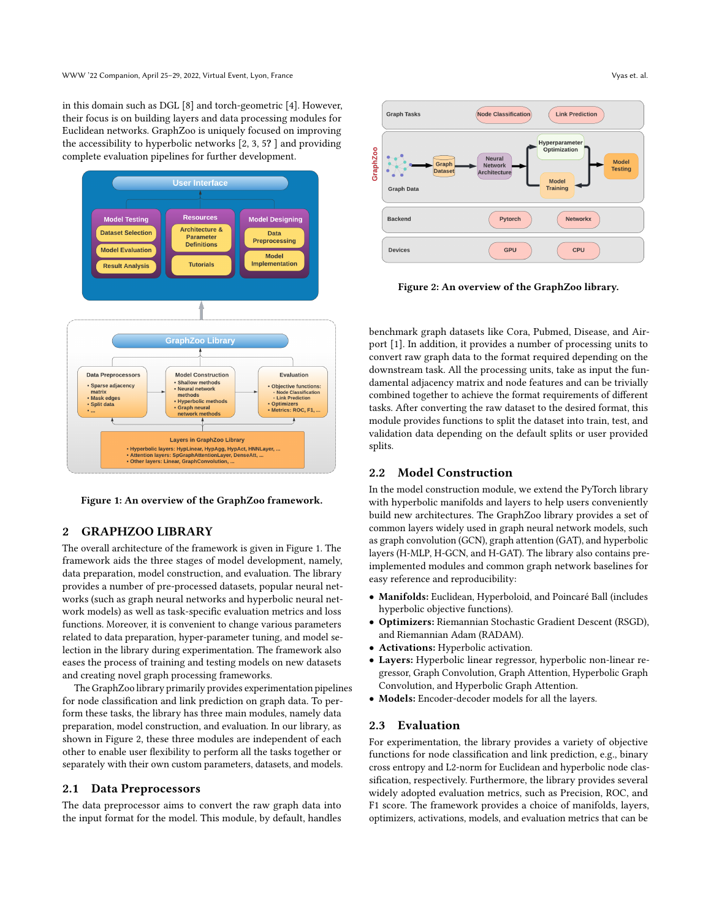in this domain such as DGL [\[8\]](#page-3-4) and torch-geometric [\[4\]](#page-3-5). However, their focus is on building layers and data processing modules for Euclidean networks. GraphZoo is uniquely focused on improving the accessibility to hyperbolic networks [\[2,](#page-3-6) [3,](#page-3-7) [5](#page-3-8)? ] and providing complete evaluation pipelines for further development.

<span id="page-1-0"></span>

Figure 1: An overview of the GraphZoo framework.

#### 2 GRAPHZOO LIBRARY

The overall architecture of the framework is given in Figure [1.](#page-1-0) The framework aids the three stages of model development, namely, data preparation, model construction, and evaluation. The library provides a number of pre-processed datasets, popular neural networks (such as graph neural networks and hyperbolic neural network models) as well as task-specific evaluation metrics and loss functions. Moreover, it is convenient to change various parameters related to data preparation, hyper-parameter tuning, and model selection in the library during experimentation. The framework also eases the process of training and testing models on new datasets and creating novel graph processing frameworks.

The GraphZoo library primarily provides experimentation pipelines for node classification and link prediction on graph data. To perform these tasks, the library has three main modules, namely data preparation, model construction, and evaluation. In our library, as shown in Figure [2,](#page-1-1) these three modules are independent of each other to enable user flexibility to perform all the tasks together or separately with their own custom parameters, datasets, and models.

# 2.1 Data Preprocessors

The data preprocessor aims to convert the raw graph data into the input format for the model. This module, by default, handles

<span id="page-1-1"></span>

Figure 2: An overview of the GraphZoo library.

benchmark graph datasets like Cora, Pubmed, Disease, and Airport [\[1\]](#page-3-3). In addition, it provides a number of processing units to convert raw graph data to the format required depending on the downstream task. All the processing units, take as input the fundamental adjacency matrix and node features and can be trivially combined together to achieve the format requirements of different tasks. After converting the raw dataset to the desired format, this module provides functions to split the dataset into train, test, and validation data depending on the default splits or user provided splits.

#### 2.2 Model Construction

In the model construction module, we extend the PyTorch library with hyperbolic manifolds and layers to help users conveniently build new architectures. The GraphZoo library provides a set of common layers widely used in graph neural network models, such as graph convolution (GCN), graph attention (GAT), and hyperbolic layers (H-MLP, H-GCN, and H-GAT). The library also contains preimplemented modules and common graph network baselines for easy reference and reproducibility:

- Manifolds: Euclidean, Hyperboloid, and Poincaré Ball (includes hyperbolic objective functions).
- Optimizers: Riemannian Stochastic Gradient Descent (RSGD), and Riemannian Adam (RADAM).
- Activations: Hyperbolic activation.
- Layers: Hyperbolic linear regressor, hyperbolic non-linear regressor, Graph Convolution, Graph Attention, Hyperbolic Graph Convolution, and Hyperbolic Graph Attention.
- Models: Encoder-decoder models for all the layers.

#### 2.3 Evaluation

For experimentation, the library provides a variety of objective functions for node classification and link prediction, e.g., binary cross entropy and L2-norm for Euclidean and hyperbolic node classification, respectively. Furthermore, the library provides several widely adopted evaluation metrics, such as Precision, ROC, and F1 score. The framework provides a choice of manifolds, layers, optimizers, activations, models, and evaluation metrics that can be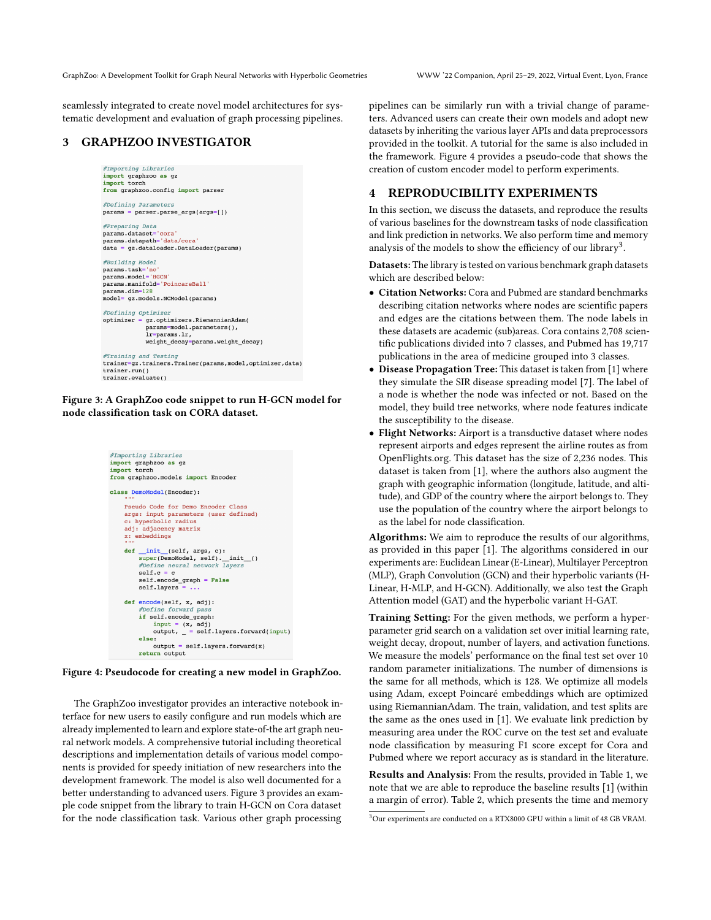GraphZoo: A Development Toolkit for Graph Neural Networks with Hyperbolic Geometries WWW '22 Companion, April 25–29, 2022, Virtual Event, Lyon, France

seamlessly integrated to create novel model architectures for systematic development and evaluation of graph processing pipelines.

# <span id="page-2-0"></span>3 GRAPHZOO INVESTIGATOR

```
#Importing Libraries
import graphzoo as gz
import torch
from graphzoo.config import parser
```
#Defining Parameters  $params = parser.parse args(args = []$ 

```
#Preparing Data
#Preparing Data<br>params.dataset='cora'<br>params.datapath='data/cora'<br>data = gz.dataloader.DataLoader(params)
```
#Building Model params.task='nc'<br>params.model='HGCN params.manifold='PoincareBall' params.dim=128 model= gz.models.NCModel(params)

#Defining Optimizer optimizer = gz.optimizers.RiemannianAdam(

```
params=model.parameters(),<br>lr=params.lr,
             weight decay=params.weight decay)
#Training and Testing
trainer=qz.trainers.Trainer(params,model,optimizer,data)
trainer.run()
```
trainer.evaluate()

Figure 3: A GraphZoo code snippet to run H-GCN model for node classification task on CORA dataset.

<span id="page-2-1"></span>



The GraphZoo investigator provides an interactive notebook interface for new users to easily configure and run models which are already implemented to learn and explore state-of-the art graph neural network models. A comprehensive tutorial including theoretical descriptions and implementation details of various model components is provided for speedy initiation of new researchers into the development framework. The model is also well documented for a better understanding to advanced users. Figure [3](#page-2-0) provides an example code snippet from the library to train H-GCN on Cora dataset for the node classification task. Various other graph processing

pipelines can be similarly run with a trivial change of parameters. Advanced users can create their own models and adopt new datasets by inheriting the various layer APIs and data preprocessors provided in the toolkit. A tutorial for the same is also included in the framework. Figure [4](#page-2-1) provides a pseudo-code that shows the creation of custom encoder model to perform experiments.

# 4 REPRODUCIBILITY EXPERIMENTS

In this section, we discuss the datasets, and reproduce the results of various baselines for the downstream tasks of node classification and link prediction in networks. We also perform time and memory analysis of the models to show the efficiency of our library<sup>[3](#page-0-0)</sup>.

Datasets: The library is tested on various benchmark graph datasets which are described below:

- Citation Networks: Cora and Pubmed are standard benchmarks describing citation networks where nodes are scientific papers and edges are the citations between them. The node labels in these datasets are academic (sub)areas. Cora contains 2,708 scientific publications divided into 7 classes, and Pubmed has 19,717 publications in the area of medicine grouped into 3 classes.
- Disease Propagation Tree: This dataset is taken from [\[1\]](#page-3-3) where they simulate the SIR disease spreading model [\[7\]](#page-3-9). The label of a node is whether the node was infected or not. Based on the model, they build tree networks, where node features indicate the susceptibility to the disease.
- Flight Networks: Airport is a transductive dataset where nodes represent airports and edges represent the airline routes as from [OpenFlights.org.](https://openflights.org/) This dataset has the size of 2,236 nodes. This dataset is taken from [\[1\]](#page-3-3), where the authors also augment the graph with geographic information (longitude, latitude, and altitude), and GDP of the country where the airport belongs to. They use the population of the country where the airport belongs to as the label for node classification.

Algorithms: We aim to reproduce the results of our algorithms, as provided in this paper [\[1\]](#page-3-3). The algorithms considered in our experiments are: Euclidean Linear (E-Linear), Multilayer Perceptron (MLP), Graph Convolution (GCN) and their hyperbolic variants (H-Linear, H-MLP, and H-GCN). Additionally, we also test the Graph Attention model (GAT) and the hyperbolic variant H-GAT.

Training Setting: For the given methods, we perform a hyperparameter grid search on a validation set over initial learning rate, weight decay, dropout, number of layers, and activation functions. We measure the models' performance on the final test set over 10 random parameter initializations. The number of dimensions is the same for all methods, which is 128. We optimize all models using Adam, except Poincaré embeddings which are optimized using RiemannianAdam. The train, validation, and test splits are the same as the ones used in [\[1\]](#page-3-3). We evaluate link prediction by measuring area under the ROC curve on the test set and evaluate node classification by measuring F1 score except for Cora and Pubmed where we report accuracy as is standard in the literature.

Results and Analysis: From the results, provided in Table [1,](#page-3-10) we note that we are able to reproduce the baseline results [\[1\]](#page-3-3) (within a margin of error). Table [2,](#page-3-11) which presents the time and memory

<sup>3</sup>Our experiments are conducted on a RTX8000 GPU within a limit of 48 GB VRAM.